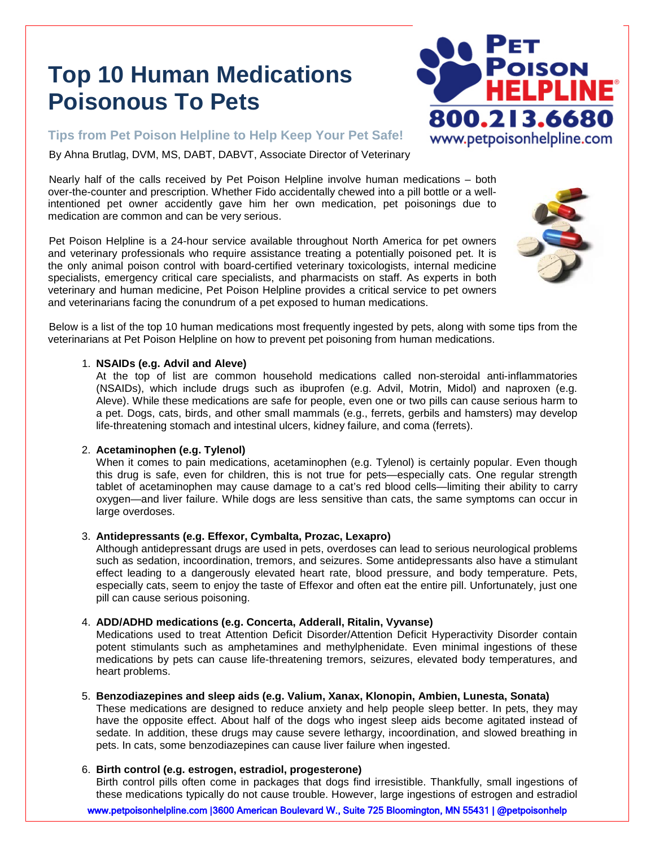# **Top 10 Human Medications Poisonous To Pets**

**Tips from Pet Poison Helpline to Help Keep Your Pet Safe!**

By Ahna Brutlag, DVM, MS, DABT, DABVT, Associate Director of Veterinary

Nearly half of the calls received by Pet Poison Helpline involve human medications – both over-the-counter and prescription. Whether Fido accidentally chewed into a pill bottle or a wellintentioned pet owner accidently gave him her own medication, pet poisonings due to medication are common and can be very serious.

Pet Poison Helpline is a 24-hour service available throughout North America for pet owners and veterinary professionals who require assistance treating a potentially poisoned pet. It is the only animal poison control with board-certified veterinary toxicologists, internal medicine specialists, emergency critical care specialists, and pharmacists on staff. As experts in both veterinary and human medicine, Pet Poison Helpline provides a critical service to pet owners and veterinarians facing the conundrum of a pet exposed to human medications.



Below is a list of the top 10 human medications most frequently ingested by pets, along with some tips from the veterinarians at Pet Poison Helpline on how to prevent pet poisoning from human medications.

## 1. **NSAIDs (e.g. Advil and Aleve)**

At the top of list are common household medications called non-steroidal anti-inflammatories (NSAIDs), which include drugs such as ibuprofen (e.g. Advil, Motrin, Midol) and naproxen (e.g. Aleve). While these medications are safe for people, even one or two pills can cause serious harm to a pet. Dogs, cats, birds, and other small mammals (e.g., ferrets, gerbils and hamsters) may develop life-threatening stomach and intestinal ulcers, kidney failure, and coma (ferrets).

## 2. **Acetaminophen (e.g. Tylenol)**

When it comes to pain medications, acetaminophen (e.g. Tylenol) is certainly popular. Even though this drug is safe, even for children, this is not true for pets—especially cats. One regular strength tablet of acetaminophen may cause damage to a cat's red blood cells—limiting their ability to carry oxygen—and liver failure. While dogs are less sensitive than cats, the same symptoms can occur in large overdoses.

# 3. **Antidepressants (e.g. Effexor, Cymbalta, Prozac, Lexapro)**

Although antidepressant drugs are used in pets, overdoses can lead to serious neurological problems such as sedation, incoordination, tremors, and seizures. Some antidepressants also have a stimulant effect leading to a dangerously elevated heart rate, blood pressure, and body temperature. Pets, especially cats, seem to enjoy the taste of Effexor and often eat the entire pill. Unfortunately, just one pill can cause serious poisoning.

## 4. **ADD/ADHD medications (e.g. Concerta, Adderall, Ritalin, Vyvanse)**

Medications used to treat Attention Deficit Disorder/Attention Deficit Hyperactivity Disorder contain potent stimulants such as amphetamines and methylphenidate. Even minimal ingestions of these medications by pets can cause life-threatening tremors, seizures, elevated body temperatures, and heart problems.

## 5. **Benzodiazepines and sleep aids (e.g. Valium, Xanax, Klonopin, Ambien, Lunesta, Sonata)**

These medications are designed to reduce anxiety and help people sleep better. In pets, they may have the opposite effect. About half of the dogs who ingest sleep aids become agitated instead of sedate. In addition, these drugs may cause severe lethargy, incoordination, and slowed breathing in pets. In cats, some benzodiazepines can cause liver failure when ingested.

## 6. **Birth control (e.g. estrogen, estradiol, progesterone)**

Birth control pills often come in packages that dogs find irresistible. Thankfully, small ingestions of these medications typically do not cause trouble. However, large ingestions of estrogen and estradiol

www.petpoisonhelpline.com | 3600 American Boulevard W., Suite 725 Bloomington, MN 55431 | @petpoisonhelp